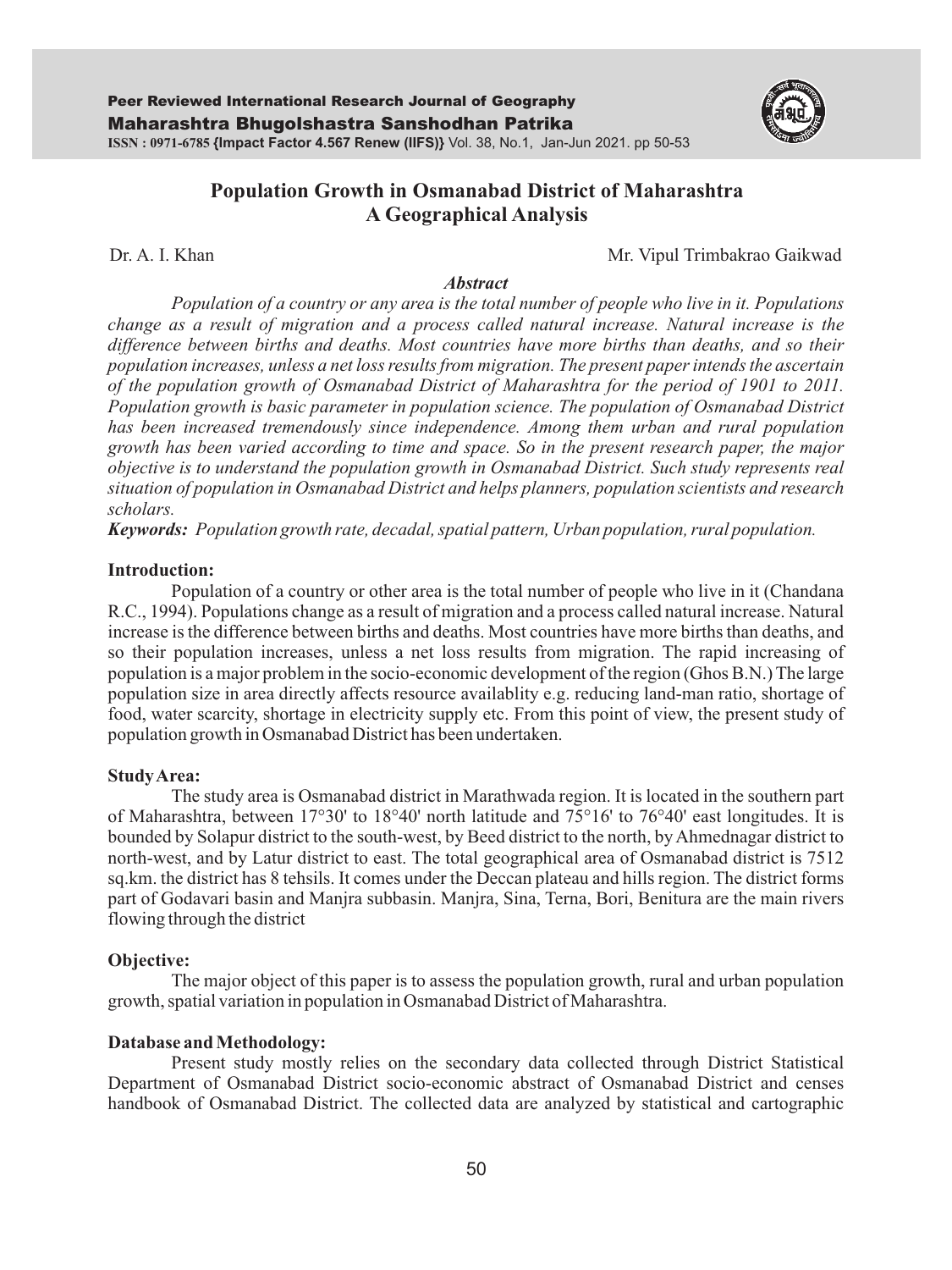

# **Population Growth in Osmanabad District of Maharashtra A Geographical Analysis**

Dr. A. I. Khan Mr. Vipul Trimbakrao Gaikwad

#### *Abstract*

*Population of a country or any area is the total number of people who live in it. Populations change as a result of migration and a process called natural increase. Natural increase is the difference between births and deaths. Most countries have more births than deaths, and so their population increases, unless a net loss results from migration. The present paper intends the ascertain of the population growth of Osmanabad District of Maharashtra for the period of 1901 to 2011. Population growth is basic parameter in population science. The population of Osmanabad District*  has been increased tremendously since independence. Among them urban and rural population *growth has been varied according to time and space. So in the present research paper, the major objective is to understand the population growth in Osmanabad District. Such study represents real situation of population in Osmanabad District and helps planners, population scientists and research scholars.* 

*Keywords: Population growth rate, decadal, spatial pattern, Urban population, rural population.*

#### **Introduction:**

Population of a country or other area is the total number of people who live in it (Chandana R.C., 1994). Populations change as a result of migration and a process called natural increase. Natural increase is the difference between births and deaths. Most countries have more births than deaths, and so their population increases, unless a net loss results from migration. The rapid increasing of population is a major problem in the socio-economic development of the region (Ghos B.N.) The large population size in area directly affects resource availablity e.g. reducing land-man ratio, shortage of food, water scarcity, shortage in electricity supply etc. From this point of view, the present study of population growth in Osmanabad District has been undertaken.

### **Study Area:**

The study area is Osmanabad district in Marathwada region. It is located in the southern part of Maharashtra, between 17°30' to 18°40' north latitude and 75°16' to 76°40' east longitudes. It is bounded by Solapur district to the south-west, by Beed district to the north, by Ahmednagar district to north-west, and by Latur district to east. The total geographical area of Osmanabad district is 7512 sq.km. the district has 8 tehsils. It comes under the Deccan plateau and hills region. The district forms part of Godavari basin and Manjra subbasin. Manjra, Sina, Terna, Bori, Benitura are the main rivers flowing through the district

#### **Objective:**

The major object of this paper is to assess the population growth, rural and urban population growth, spatial variation in population in Osmanabad District of Maharashtra.

### **Database and Methodology:**

Present study mostly relies on the secondary data collected through District Statistical Department of Osmanabad District socio-economic abstract of Osmanabad District and censes handbook of Osmanabad District. The collected data are analyzed by statistical and cartographic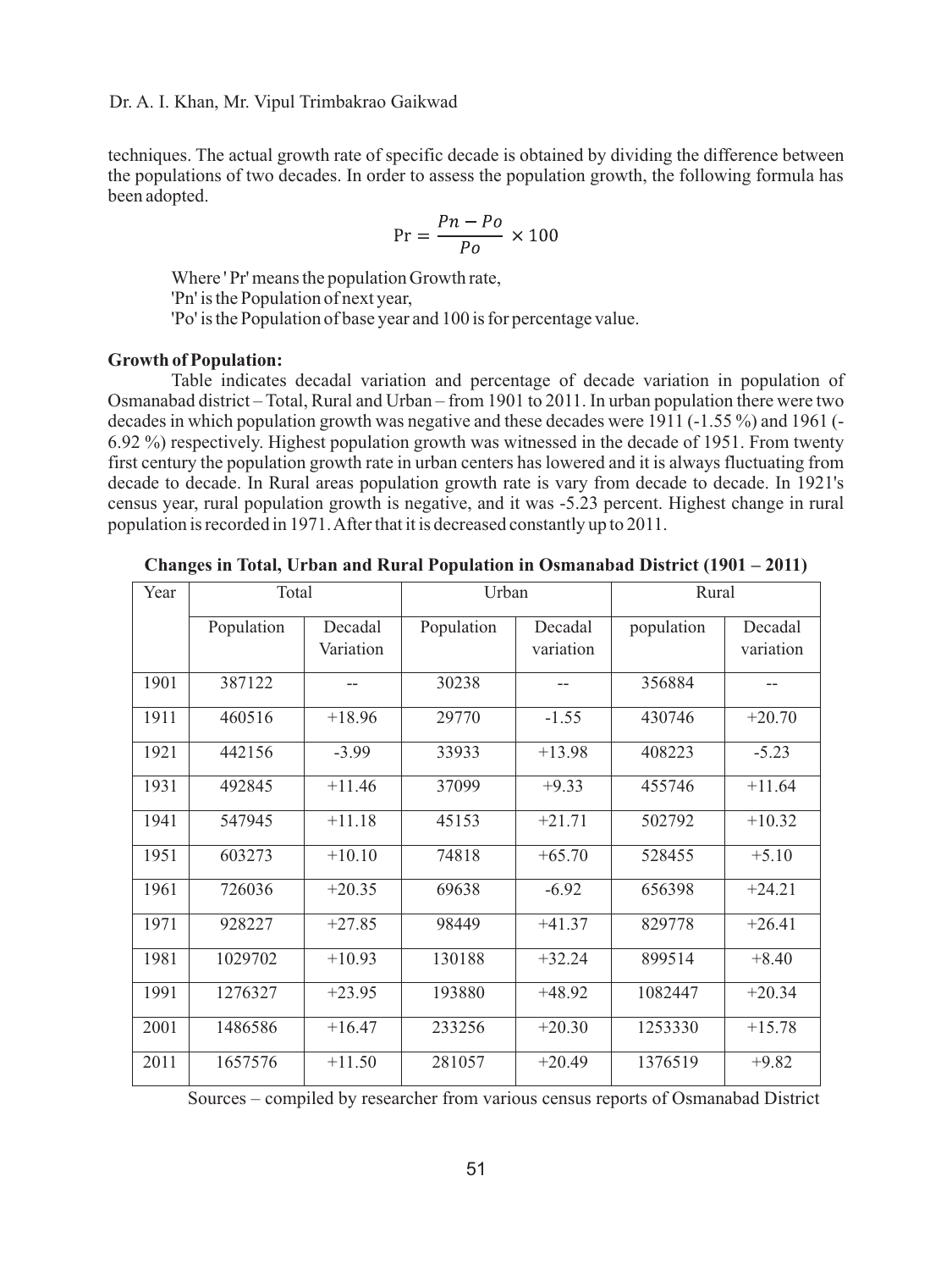Dr. A. I. Khan, Mr. Vipul Trimbakrao Gaikwad

techniques. The actual growth rate of specific decade is obtained by dividing the difference between the populations of two decades. In order to assess the population growth, the following formula has been adopted.

$$
Pr = \frac{Pn - Po}{Po} \times 100
$$

Where ' Pr' means the population Growth rate, 'Pn' is the Population of next year, 'Po' is the Population of base year and 100 is for percentage value.

#### **Growth of Population:**

Table indicates decadal variation and percentage of decade variation in population of Osmanabad district – Total, Rural and Urban – from 1901 to 2011. In urban population there were two decades in which population growth was negative and these decades were 1911 (-1.55 %) and 1961 (- 6.92 %) respectively. Highest population growth was witnessed in the decade of 1951. From twenty first century the population growth rate in urban centers has lowered and it is always fluctuating from decade to decade. In Rural areas population growth rate is vary from decade to decade. In 1921's census year, rural population growth is negative, and it was -5.23 percent. Highest change in rural population is recorded in 1971. After that it is decreased constantly up to 2011.

| Changes in Total, Urban and Rural Population in Osmanabad District (1901 – 2011) |  |
|----------------------------------------------------------------------------------|--|
|                                                                                  |  |

| Year | Total      |           | Urban      |           | Rural      |           |
|------|------------|-----------|------------|-----------|------------|-----------|
|      | Population | Decadal   | Population | Decadal   | population | Decadal   |
|      |            | Variation |            | variation |            | variation |
| 1901 | 387122     |           | 30238      |           | 356884     |           |
| 1911 | 460516     | $+18.96$  | 29770      | $-1.55$   | 430746     | $+20.70$  |
| 1921 | 442156     | $-3.99$   | 33933      | $+13.98$  | 408223     | $-5.23$   |
| 1931 | 492845     | $+11.46$  | 37099      | $+9.33$   | 455746     | $+11.64$  |
| 1941 | 547945     | $+11.18$  | 45153      | $+21.71$  | 502792     | $+10.32$  |
| 1951 | 603273     | $+10.10$  | 74818      | $+65.70$  | 528455     | $+5.10$   |
| 1961 | 726036     | $+20.35$  | 69638      | $-6.92$   | 656398     | $+24.21$  |
| 1971 | 928227     | $+27.85$  | 98449      | $+41.37$  | 829778     | $+26.41$  |
| 1981 | 1029702    | $+10.93$  | 130188     | $+32.24$  | 899514     | $+8.40$   |
| 1991 | 1276327    | $+23.95$  | 193880     | $+48.92$  | 1082447    | $+20.34$  |
| 2001 | 1486586    | $+16.47$  | 233256     | $+20.30$  | 1253330    | $+15.78$  |
| 2011 | 1657576    | $+11.50$  | 281057     | $+20.49$  | 1376519    | $+9.82$   |

Sources – compiled by researcher from various census reports of Osmanabad District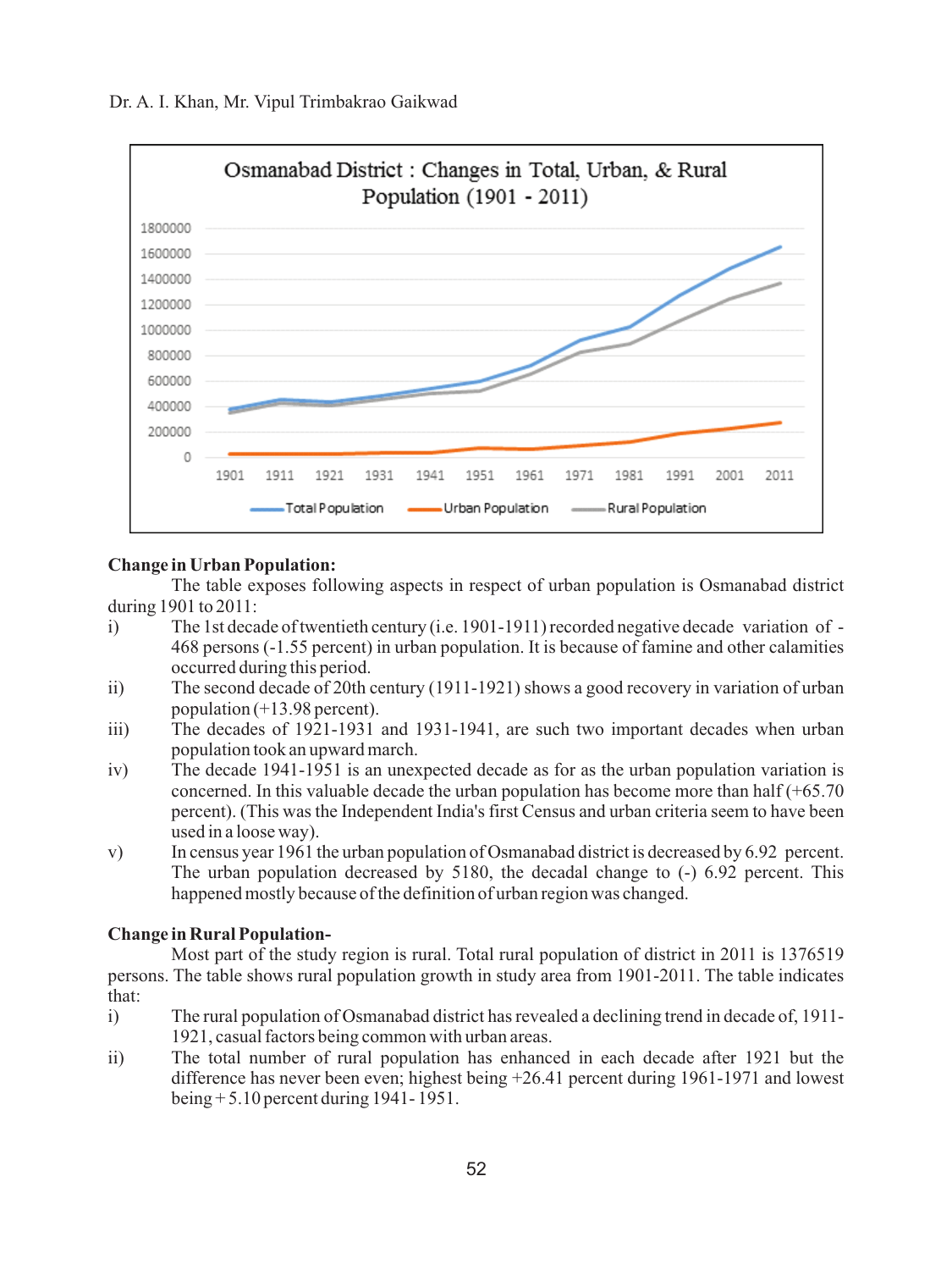

## **Change in Urban Population:**

The table exposes following aspects in respect of urban population is Osmanabad district during 1901 to 2011:

- i) The 1st decade of twentieth century (i.e. 1901-1911) recorded negative decade variation of 468 persons (-1.55 percent) in urban population. It is because of famine and other calamities occurred during this period.
- ii) The second decade of 20th century (1911-1921) shows a good recovery in variation of urban population  $(+13.98$  percent).
- iii) The decades of 1921-1931 and 1931-1941, are such two important decades when urban population took an upward march.
- iv) The decade 1941-1951 is an unexpected decade as for as the urban population variation is concerned. In this valuable decade the urban population has become more than half  $(+65.70)$ percent). (This was the Independent India's first Census and urban criteria seem to have been used in a loose way).
- v) In census year 1961 the urban population of Osmanabad district is decreased by 6.92 percent. The urban population decreased by 5180, the decadal change to (-) 6.92 percent. This happened mostly because of the definition of urban region was changed.

### **Change in Rural Population-**

Most part of the study region is rural. Total rural population of district in 2011 is 1376519 persons. The table shows rural population growth in study area from 1901-2011. The table indicates that:

- i) The rural population of Osmanabad district has revealed a declining trend in decade of, 1911- 1921, casual factors being common with urban areas.
- ii) The total number of rural population has enhanced in each decade after 1921 but the difference has never been even; highest being +26.41 percent during 1961-1971 and lowest being + 5.10 percent during 1941- 1951.